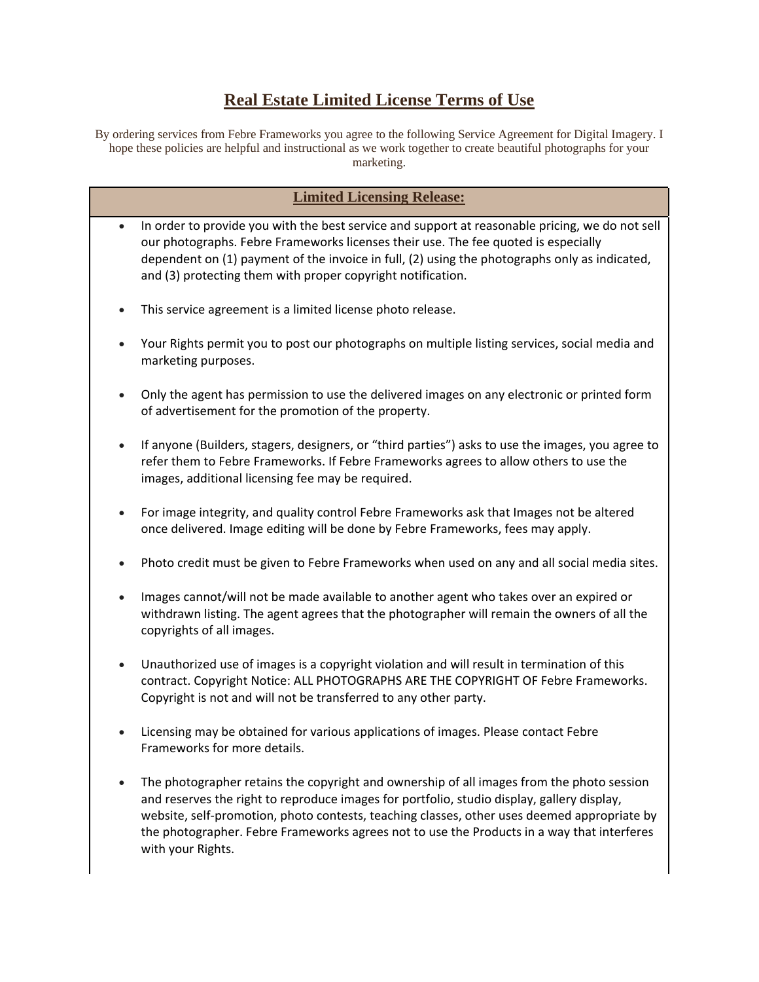# **Real Estate Limited License Terms of Use**

By ordering services from Febre Frameworks you agree to the following Service Agreement for Digital Imagery. I hope these policies are helpful and instructional as we work together to create beautiful photographs for your marketing.

| <b>Limited Licensing Release:</b> |                                                                                                                                                                                                                                                                                                                                                                                                           |
|-----------------------------------|-----------------------------------------------------------------------------------------------------------------------------------------------------------------------------------------------------------------------------------------------------------------------------------------------------------------------------------------------------------------------------------------------------------|
| $\bullet$                         | In order to provide you with the best service and support at reasonable pricing, we do not sell                                                                                                                                                                                                                                                                                                           |
|                                   | our photographs. Febre Frameworks licenses their use. The fee quoted is especially<br>dependent on (1) payment of the invoice in full, (2) using the photographs only as indicated,<br>and (3) protecting them with proper copyright notification.                                                                                                                                                        |
|                                   | This service agreement is a limited license photo release.                                                                                                                                                                                                                                                                                                                                                |
|                                   | Your Rights permit you to post our photographs on multiple listing services, social media and<br>marketing purposes.                                                                                                                                                                                                                                                                                      |
|                                   | Only the agent has permission to use the delivered images on any electronic or printed form<br>of advertisement for the promotion of the property.                                                                                                                                                                                                                                                        |
|                                   | If anyone (Builders, stagers, designers, or "third parties") asks to use the images, you agree to<br>refer them to Febre Frameworks. If Febre Frameworks agrees to allow others to use the<br>images, additional licensing fee may be required.                                                                                                                                                           |
|                                   | For image integrity, and quality control Febre Frameworks ask that Images not be altered<br>once delivered. Image editing will be done by Febre Frameworks, fees may apply.                                                                                                                                                                                                                               |
|                                   | Photo credit must be given to Febre Frameworks when used on any and all social media sites.                                                                                                                                                                                                                                                                                                               |
|                                   | Images cannot/will not be made available to another agent who takes over an expired or<br>withdrawn listing. The agent agrees that the photographer will remain the owners of all the<br>copyrights of all images.                                                                                                                                                                                        |
|                                   | Unauthorized use of images is a copyright violation and will result in termination of this<br>contract. Copyright Notice: ALL PHOTOGRAPHS ARE THE COPYRIGHT OF Febre Frameworks.<br>Copyright is not and will not be transferred to any other party.                                                                                                                                                      |
|                                   | Licensing may be obtained for various applications of images. Please contact Febre<br>Frameworks for more details.                                                                                                                                                                                                                                                                                        |
|                                   | The photographer retains the copyright and ownership of all images from the photo session<br>and reserves the right to reproduce images for portfolio, studio display, gallery display,<br>website, self-promotion, photo contests, teaching classes, other uses deemed appropriate by<br>the photographer. Febre Frameworks agrees not to use the Products in a way that interferes<br>with your Rights. |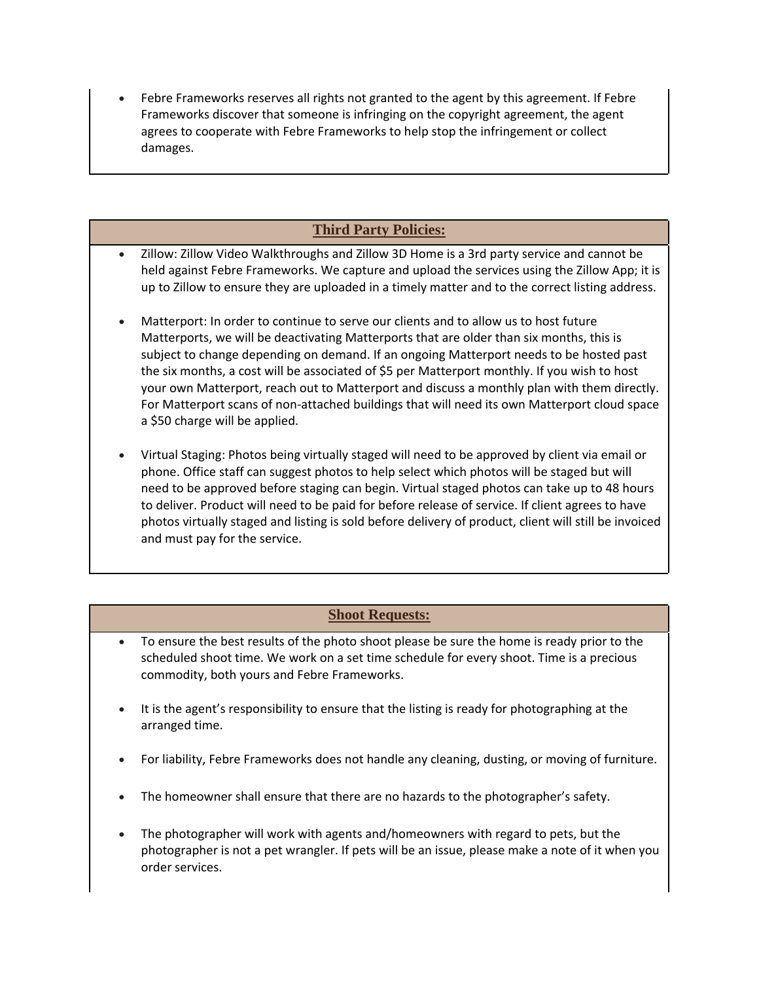• Febre Frameworks reserves all rights not granted to the agent by this agreement. If Febre Frameworks discover that someone is infringing on the copyright agreement, the agent agrees to cooperate with Febre Frameworks to help stop the infringement or collect damages.

## **Third Party Policies:**

- Zillow: Zillow Video Walkthroughs and Zillow 3D Home is a 3rd party service and cannot be held against Febre Frameworks. We capture and upload the services using the Zillow App; it is up to Zillow to ensure they are uploaded in a timely matter and to the correct listing address.
- Matterport: In order to continue to serve our clients and to allow us to host future Matterports, we will be deactivating Matterports that are older than six months, this is subject to change depending on demand. If an ongoing Matterport needs to be hosted past the six months, a cost will be associated of \$5 per Matterport monthly. If you wish to host your own Matterport, reach out to Matterport and discuss a monthly plan with them directly. For Matterport scans of non-attached buildings that will need its own Matterport cloud space a \$50 charge will be applied.
- Virtual Staging: Photos being virtually staged will need to be approved by client via email or phone. Office staff can suggest photos to help select which photos will be staged but will need to be approved before staging can begin. Virtual staged photos can take up to 48 hours to deliver. Product will need to be paid for before release of service. If client agrees to have photos virtually staged and listing is sold before delivery of product, client will still be invoiced and must pay for the service.

#### **Shoot Requests:**

- To ensure the best results of the photo shoot please be sure the home is ready prior to the scheduled shoot time. We work on a set time schedule for every shoot. Time is a precious commodity, both yours and Febre Frameworks.
- It is the agent's responsibility to ensure that the listing is ready for photographing at the arranged time.
- For liability, Febre Frameworks does not handle any cleaning, dusting, or moving of furniture.
- The homeowner shall ensure that there are no hazards to the photographer's safety.
- The photographer will work with agents and/homeowners with regard to pets, but the photographer is not a pet wrangler. If pets will be an issue, please make a note of it when you order services.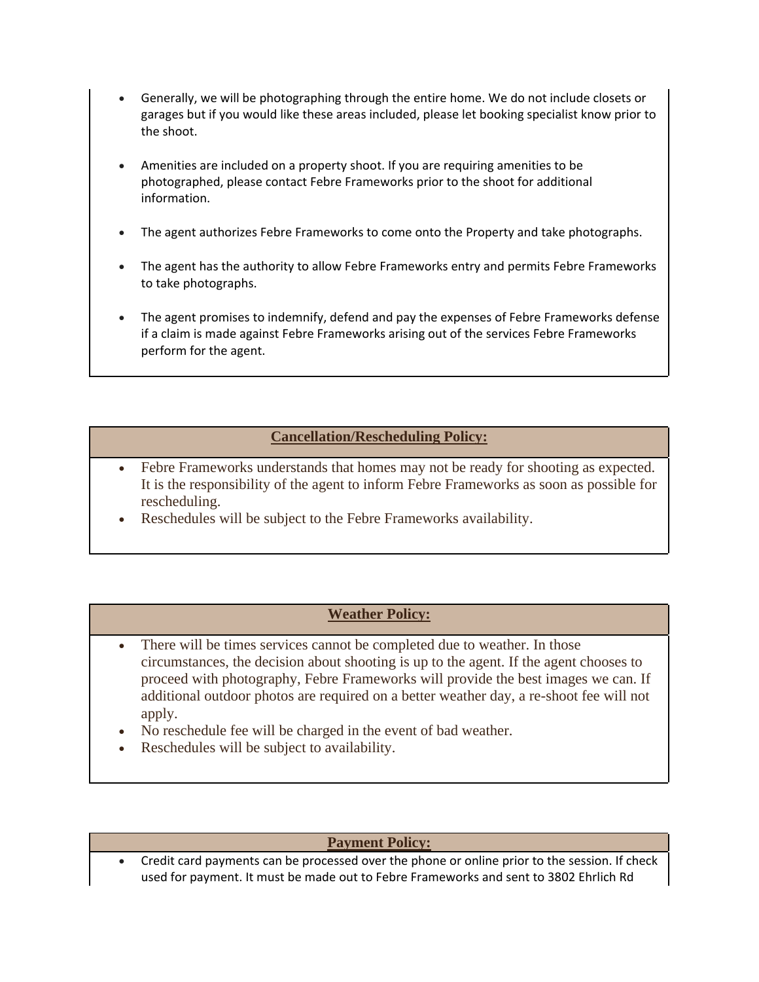- Generally, we will be photographing through the entire home. We do not include closets or garages but if you would like these areas included, please let booking specialist know prior to the shoot.
- Amenities are included on a property shoot. If you are requiring amenities to be photographed, please contact Febre Frameworks prior to the shoot for additional information.
- The agent authorizes Febre Frameworks to come onto the Property and take photographs.
- The agent has the authority to allow Febre Frameworks entry and permits Febre Frameworks to take photographs.
- The agent promises to indemnify, defend and pay the expenses of Febre Frameworks defense if a claim is made against Febre Frameworks arising out of the services Febre Frameworks perform for the agent.

### **Cancellation/Rescheduling Policy:**

- Febre Frameworks understands that homes may not be ready for shooting as expected. It is the responsibility of the agent to inform Febre Frameworks as soon as possible for rescheduling.
- Reschedules will be subject to the Febre Frameworks availability.

#### **Weather Policy:**

- There will be times services cannot be completed due to weather. In those circumstances, the decision about shooting is up to the agent. If the agent chooses to proceed with photography, Febre Frameworks will provide the best images we can. If additional outdoor photos are required on a better weather day, a re-shoot fee will not apply.
- No reschedule fee will be charged in the event of bad weather.
- Reschedules will be subject to availability.

#### **Payment Policy:**

• Credit card payments can be processed over the phone or online prior to the session. If check used for payment. It must be made out to Febre Frameworks and sent to 3802 Ehrlich Rd